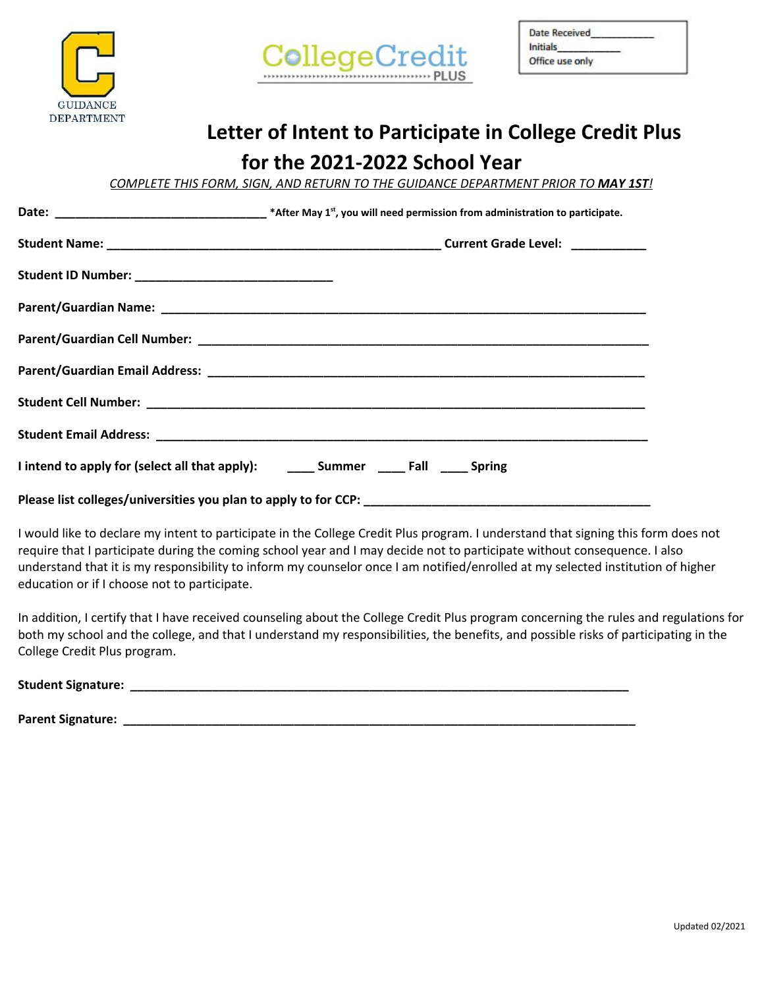



| Date Received               |  |
|-----------------------------|--|
| Initials<br>Office use only |  |

## **Letter of Intent to Participate in College Credit Plus**

## **for the 2021-2022 School Year**

*COMPLETE THIS FORM, SIGN, AND RETURN TO THE GUIDANCE DEPARTMENT PRIOR TO MAY 1ST!*

| Student ID Number: _________________________________                                       |  |  |
|--------------------------------------------------------------------------------------------|--|--|
|                                                                                            |  |  |
|                                                                                            |  |  |
|                                                                                            |  |  |
|                                                                                            |  |  |
|                                                                                            |  |  |
| I intend to apply for (select all that apply): _________ Summer _______ Fall ______ Spring |  |  |
|                                                                                            |  |  |

I would like to declare my intent to participate in the College Credit Plus program. I understand that signing this form does not require that I participate during the coming school year and I may decide not to participate without consequence. I also understand that it is my responsibility to inform my counselor once I am notified/enrolled at my selected institution of higher education or if I choose not to participate.

In addition, I certify that I have received counseling about the College Credit Plus program concerning the rules and regulations for both my school and the college, and that I understand my responsibilities, the benefits, and possible risks of participating in the College Credit Plus program.

**Student Signature: \_\_\_\_\_\_\_\_\_\_\_\_\_\_\_\_\_\_\_\_\_\_\_\_\_\_\_\_\_\_\_\_\_\_\_\_\_\_\_\_\_\_\_\_\_\_\_\_\_\_\_\_\_\_\_\_\_\_\_\_\_\_\_\_\_\_\_\_\_\_\_\_\_**

**Parent Signature: \_\_\_\_\_\_\_\_\_\_\_\_\_\_\_\_\_\_\_\_\_\_\_\_\_\_\_\_\_\_\_\_\_\_\_\_\_\_\_\_\_\_\_\_\_\_\_\_\_\_\_\_\_\_\_\_\_\_\_\_\_\_\_\_\_\_\_\_\_\_\_\_\_\_\_**